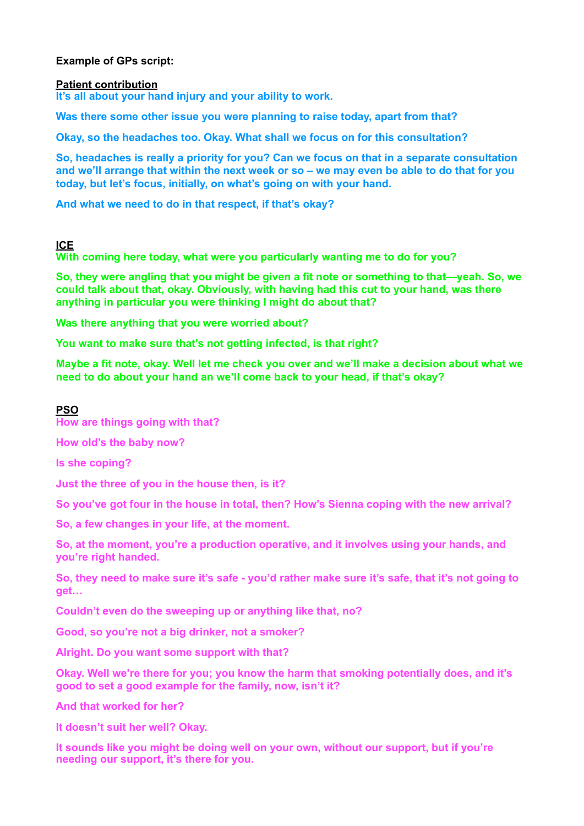# **Example of GPs script:**

### **Patient contribution**

**It's all about your hand injury and your ability to work.** 

**Was there some other issue you were planning to raise today, apart from that?** 

**Okay, so the headaches too. Okay. What shall we focus on for this consultation?** 

**So, headaches is really a priority for you? Can we focus on that in a separate consultation and we'll arrange that within the next week or so – we may even be able to do that for you today, but let's focus, initially, on what's going on with your hand.** 

**And what we need to do in that respect, if that's okay?** 

## **ICE**

**With coming here today, what were you particularly wanting me to do for you?** 

**So, they were angling that you might be given a fit note or something to that—yeah. So, we could talk about that, okay. Obviously, with having had this cut to your hand, was there anything in particular you were thinking I might do about that?** 

**Was there anything that you were worried about?** 

**You want to make sure that's not getting infected, is that right?** 

**Maybe a fit note, okay. Well let me check you over and we'll make a decision about what we need to do about your hand an we'll come back to your head, if that's okay?**

# **PSO**

**How are things going with that?** 

**How old's the baby now?** 

**Is she coping?** 

**Just the three of you in the house then, is it?** 

**So you've got four in the house in total, then? How's Sienna coping with the new arrival?** 

**So, a few changes in your life, at the moment.** 

**So, at the moment, you're a production operative, and it involves using your hands, and you're right handed.** 

**So, they need to make sure it's safe - you'd rather make sure it's safe, that it's not going to get…** 

**Couldn't even do the sweeping up or anything like that, no?** 

**Good, so you're not a big drinker, not a smoker?** 

**Alright. Do you want some support with that?** 

**Okay. Well we're there for you; you know the harm that smoking potentially does, and it's good to set a good example for the family, now, isn't it?** 

**And that worked for her?** 

**It doesn't suit her well? Okay.** 

**It sounds like you might be doing well on your own, without our support, but if you're needing our support, it's there for you.**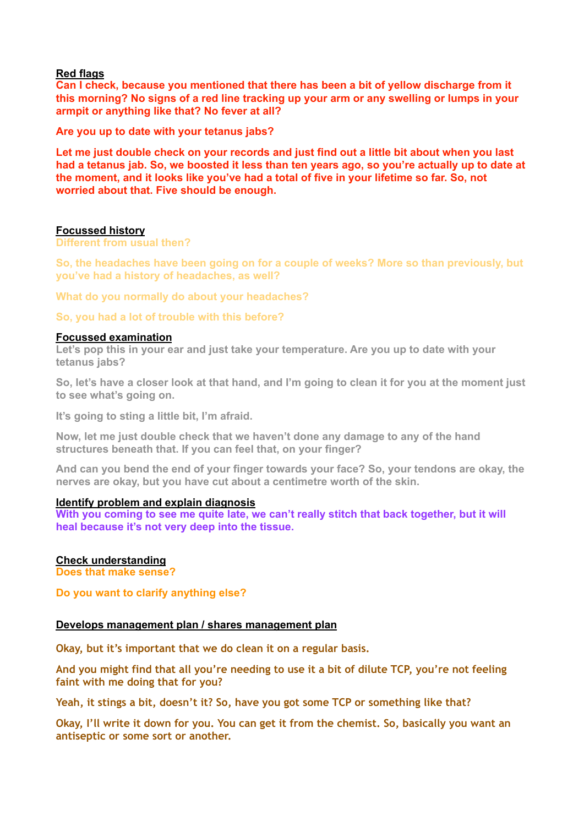## **Red flags**

**Can I check, because you mentioned that there has been a bit of yellow discharge from it this morning? No signs of a red line tracking up your arm or any swelling or lumps in your armpit or anything like that? No fever at all?** 

**Are you up to date with your tetanus jabs?**

**Let me just double check on your records and just find out a little bit about when you last had a tetanus jab. So, we boosted it less than ten years ago, so you're actually up to date at the moment, and it looks like you've had a total of five in your lifetime so far. So, not worried about that. Five should be enough.**

#### **Focussed history**

**Different from usual then?** 

**So, the headaches have been going on for a couple of weeks? More so than previously, but you've had a history of headaches, as well?** 

**What do you normally do about your headaches?** 

**So, you had a lot of trouble with this before?** 

#### **Focussed examination**

**Let's pop this in your ear and just take your temperature. Are you up to date with your tetanus jabs?** 

**So, let's have a closer look at that hand, and I'm going to clean it for you at the moment just to see what's going on.**

**It's going to sting a little bit, I'm afraid.** 

**Now, let me just double check that we haven't done any damage to any of the hand structures beneath that. If you can feel that, on your finger?** 

**And can you bend the end of your finger towards your face? So, your tendons are okay, the nerves are okay, but you have cut about a centimetre worth of the skin.** 

### **Identify problem and explain diagnosis**

With you coming to see me quite late, we can't really stitch that back together, but it will **heal because it's not very deep into the tissue.**

# **Check understanding**

**Does that make sense?** 

**Do you want to clarify anything else?**

#### **Develops management plan / shares management plan**

**Okay, but it's important that we do clean it on a regular basis.** 

**And you might find that all you're needing to use it a bit of dilute TCP, you're not feeling faint with me doing that for you?** 

**Yeah, it stings a bit, doesn't it? So, have you got some TCP or something like that?** 

**Okay, I'll write it down for you. You can get it from the chemist. So, basically you want an antiseptic or some sort or another.**